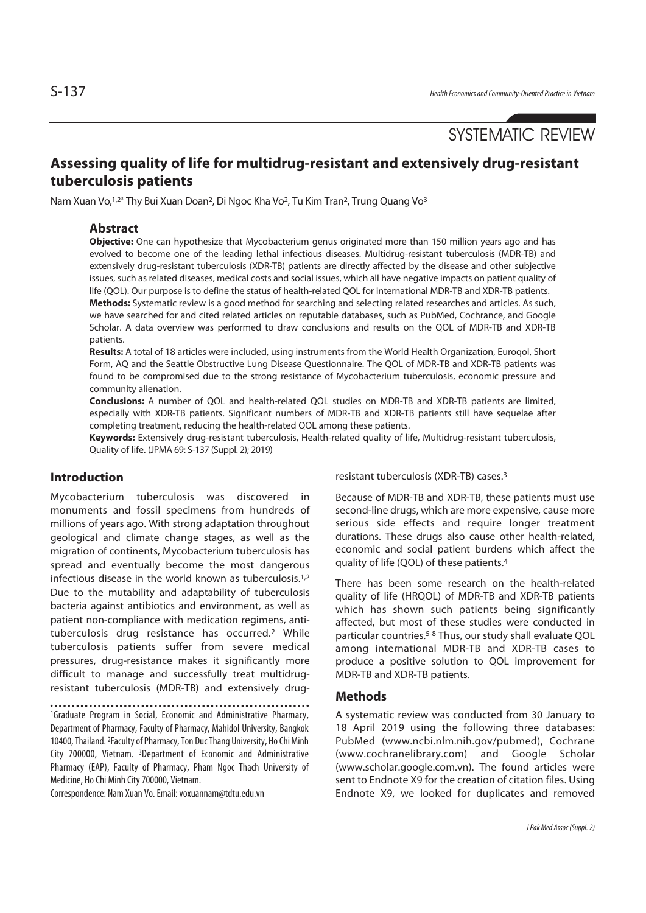# SYSTEMATIC REVIEW

# **Assessing quality of life for multidrug-resistant and extensively drug-resistant tuberculosis patients**

Nam Xuan Vo, <sup>1,2\*</sup> Thy Bui Xuan Doan<sup>2</sup>, Di Ngoc Kha Vo<sup>2</sup>, Tu Kim Tran<sup>2</sup>, Trung Quang Vo<sup>3</sup>

## **Abstract**

**Objective:** One can hypothesize that Mycobacterium genus originated more than 150 million years ago and has evolved to become one of the leading lethal infectious diseases. Multidrug-resistant tuberculosis (MDR-TB) and extensively drug-resistant tuberculosis (XDR-TB) patients are directly affected by the disease and other subjective issues, such as related diseases, medical costs and social issues, which all have negative impacts on patient quality of life (QOL). Our purpose is to define the status of health-related QOL for international MDR-TB and XDR-TB patients. **Methods:** Systematic review is a good method for searching and selecting related researches and articles. As such, we have searched for and cited related articles on reputable databases, such as PubMed, Cochrance, and Google Scholar. A data overview was performed to draw conclusions and results on the QOL of MDR-TB and XDR-TB patients.

**Results:** A total of 18 articles were included, using instruments from the World Health Organization, Euroqol, Short Form, AQ and the Seattle Obstructive Lung Disease Questionnaire. The QOL of MDR-TB and XDR-TB patients was found to be compromised due to the strong resistance of Mycobacterium tuberculosis, economic pressure and community alienation.

**Conclusions:** A number of QOL and health-related QOL studies on MDR-TB and XDR-TB patients are limited, especially with XDR-TB patients. Significant numbers of MDR-TB and XDR-TB patients still have sequelae after completing treatment, reducing the health-related QOL among these patients.

**Keywords:** Extensively drug-resistant tuberculosis, Health-related quality of life, Multidrug-resistant tuberculosis, Quality of life. (JPMA 69: S-137 (Suppl. 2); 2019)

### **Introduction**

Mycobacterium tuberculosis was discovered in monuments and fossil specimens from hundreds of millions of years ago. With strong adaptation throughout geological and climate change stages, as well as the migration of continents, Mycobacterium tuberculosis has spread and eventually become the most dangerous infectious disease in the world known as tuberculosis.1,2 Due to the mutability and adaptability of tuberculosis bacteria against antibiotics and environment, as well as patient non-compliance with medication regimens, antituberculosis drug resistance has occurred.2 While tuberculosis patients suffer from severe medical pressures, drug-resistance makes it significantly more difficult to manage and successfully treat multidrugresistant tuberculosis (MDR-TB) and extensively drug-

1Graduate Program in Social, Economic and Administrative Pharmacy, Department of Pharmacy, Faculty of Pharmacy, Mahidol University, Bangkok 10400, Thailand. 2Faculty of Pharmacy, Ton Duc Thang University, Ho Chi Minh City 700000, Vietnam. 3Department of Economic and Administrative Pharmacy (EAP), Faculty of Pharmacy, Pham Ngoc Thach University of Medicine, Ho Chi Minh City 700000, Vietnam.

Correspondence: Nam Xuan Vo. Email: voxuannam@tdtu.edu.vn

resistant tuberculosis (XDR-TB) cases.3

Because of MDR-TB and XDR-TB, these patients must use second-line drugs, which are more expensive, cause more serious side effects and require longer treatment durations. These drugs also cause other health-related, economic and social patient burdens which affect the quality of life (QOL) of these patients.4

There has been some research on the health-related quality of life (HRQOL) of MDR-TB and XDR-TB patients which has shown such patients being significantly affected, but most of these studies were conducted in particular countries.5-8 Thus, our study shall evaluate QOL among international MDR-TB and XDR-TB cases to produce a positive solution to QOL improvement for MDR-TB and XDR-TB patients.

### **Methods**

A systematic review was conducted from 30 January to 18 April 2019 using the following three databases: PubMed (www.ncbi.nlm.nih.gov/pubmed), Cochrane (www.cochranelibrary.com) and Google Scholar (www.scholar.google.com.vn). The found articles were sent to Endnote X9 for the creation of citation files. Using Endnote X9, we looked for duplicates and removed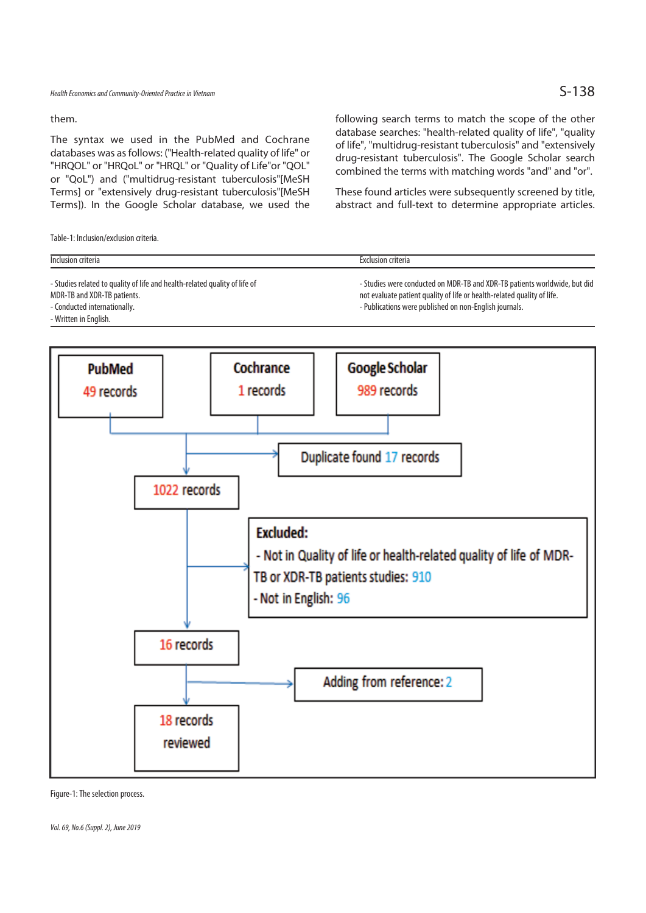them.

The syntax we used in the PubMed and Cochrane databases was as follows: ("Health-related quality of life" or "HRQOL" or "HRQoL" or "HRQL" or "Quality of Life"or "QOL" or "QoL") and ("multidrug-resistant tuberculosis"[MeSH Terms] or "extensively drug-resistant tuberculosis"[MeSH Terms]). In the Google Scholar database, we used the

Table-1: Inclusion/exclusion criteria.

following search terms to match the scope of the other database searches: "health-related quality of life", "quality of life", "multidrug-resistant tuberculosis" and "extensively drug-resistant tuberculosis". The Google Scholar search combined the terms with matching words "and" and "or".

These found articles were subsequently screened by title, abstract and full-text to determine appropriate articles.

| Inclusion criteria                                                                                                                                                 | Exclusion criteria                                                                                                                                                                                             |
|--------------------------------------------------------------------------------------------------------------------------------------------------------------------|----------------------------------------------------------------------------------------------------------------------------------------------------------------------------------------------------------------|
| - Studies related to quality of life and health-related quality of life of<br>MDR-TB and XDR-TB patients.<br>- Conducted internationally.<br>- Written in English. | - Studies were conducted on MDR-TB and XDR-TB patients worldwide, but did<br>not evaluate patient quality of life or health-related quality of life.<br>- Publications were published on non-English journals. |



Figure-1: The selection process.

Vol. 69, No.6 (Suppl. 2), June 2019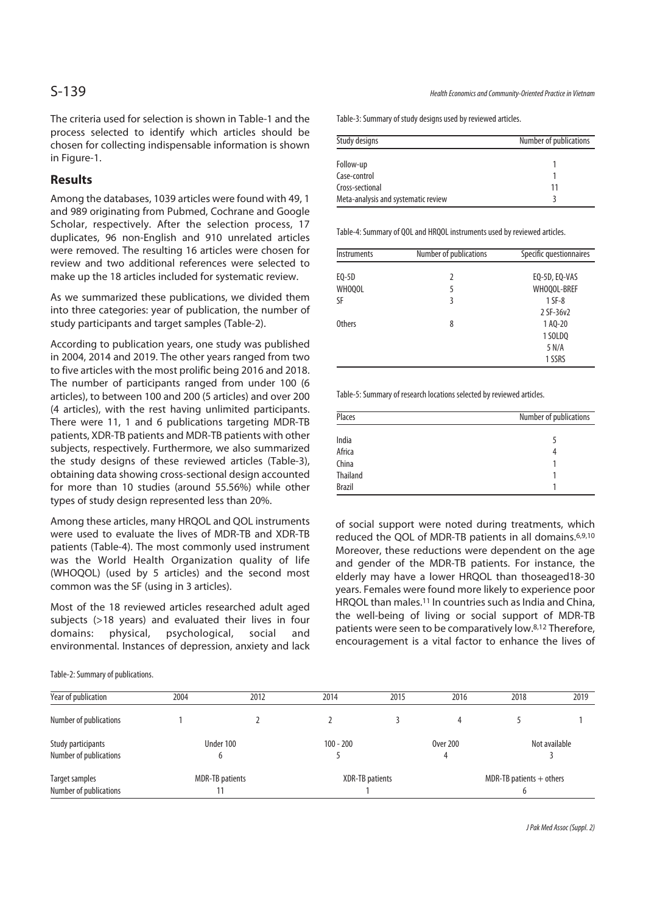The criteria used for selection is shown in Table-1 and the process selected to identify which articles should be chosen for collecting indispensable information is shown in Figure-1.

# **Results**

Among the databases, 1039 articles were found with 49, 1 and 989 originating from Pubmed, Cochrane and Google Scholar, respectively. After the selection process, 17 duplicates, 96 non-English and 910 unrelated articles were removed. The resulting 16 articles were chosen for review and two additional references were selected to make up the 18 articles included for systematic review.

As we summarized these publications, we divided them into three categories: year of publication, the number of study participants and target samples (Table-2).

According to publication years, one study was published in 2004, 2014 and 2019. The other years ranged from two to five articles with the most prolific being 2016 and 2018. The number of participants ranged from under 100 (6 articles), to between 100 and 200 (5 articles) and over 200 (4 articles), with the rest having unlimited participants. There were 11, 1 and 6 publications targeting MDR-TB patients, XDR-TB patients and MDR-TB patients with other subjects, respectively. Furthermore, we also summarized the study designs of these reviewed articles (Table-3), obtaining data showing cross-sectional design accounted for more than 10 studies (around 55.56%) while other types of study design represented less than 20%.

Among these articles, many HRQOL and QOL instruments were used to evaluate the lives of MDR-TB and XDR-TB patients (Table-4). The most commonly used instrument was the World Health Organization quality of life (WHOQOL) (used by 5 articles) and the second most common was the SF (using in 3 articles).

Most of the 18 reviewed articles researched adult aged subjects (>18 years) and evaluated their lives in four domains: physical, psychological, social and environmental. Instances of depression, anxiety and lack

Table-2: Summary of publications.

Table-3: Summary of study designs used by reviewed articles.

| Study designs                       | Number of publications |
|-------------------------------------|------------------------|
| Follow-up                           |                        |
| Case-control                        |                        |
| Cross-sectional                     | 11                     |
| Meta-analysis and systematic review |                        |

Table-4: Summary of QOL and HRQOL instruments used by reviewed articles.

| <b>Instruments</b> | Number of publications | Specific questionnaires               |
|--------------------|------------------------|---------------------------------------|
| EQ-5D<br>WHOOOL    | 2<br>5                 | EQ-5D, EQ-VAS<br>WHOQOL-BREF          |
| SF                 | 3                      | $1$ SF-8<br>2 SF-36v2                 |
| <b>Others</b>      | 8                      | 1 AQ-20<br>1 SOLDO<br>5 N/A<br>1 SSRS |

Table-5: Summary of research locations selected by reviewed articles.

| Places          | Number of publications |
|-----------------|------------------------|
| India           |                        |
| Africa          | 4                      |
| China           |                        |
| <b>Thailand</b> |                        |
| <b>Brazil</b>   |                        |

of social support were noted during treatments, which reduced the QOL of MDR-TB patients in all domains.6,9,10 Moreover, these reductions were dependent on the age and gender of the MDR-TB patients. For instance, the elderly may have a lower HRQOL than thoseaged18-30 years. Females were found more likely to experience poor HRQOL than males.11 In countries such as India and China, the well-being of living or social support of MDR-TB patients were seen to be comparatively low.8,12 Therefore, encouragement is a vital factor to enhance the lives of

| Year of publication                          | 2004 | 2012                   | 2014            | 2015 | 2016            | 2018                       | 2019 |  |
|----------------------------------------------|------|------------------------|-----------------|------|-----------------|----------------------------|------|--|
| Number of publications                       |      |                        |                 |      |                 |                            |      |  |
| Study participants<br>Number of publications |      | Under 100              | $100 - 200$     |      | <b>Over 200</b> | Not available              |      |  |
| Target samples<br>Number of publications     |      | <b>MDR-TB</b> patients | XDR-TB patients |      |                 | MDR-TB patients $+$ others |      |  |

J Pak Med Assoc (Suppl. 2)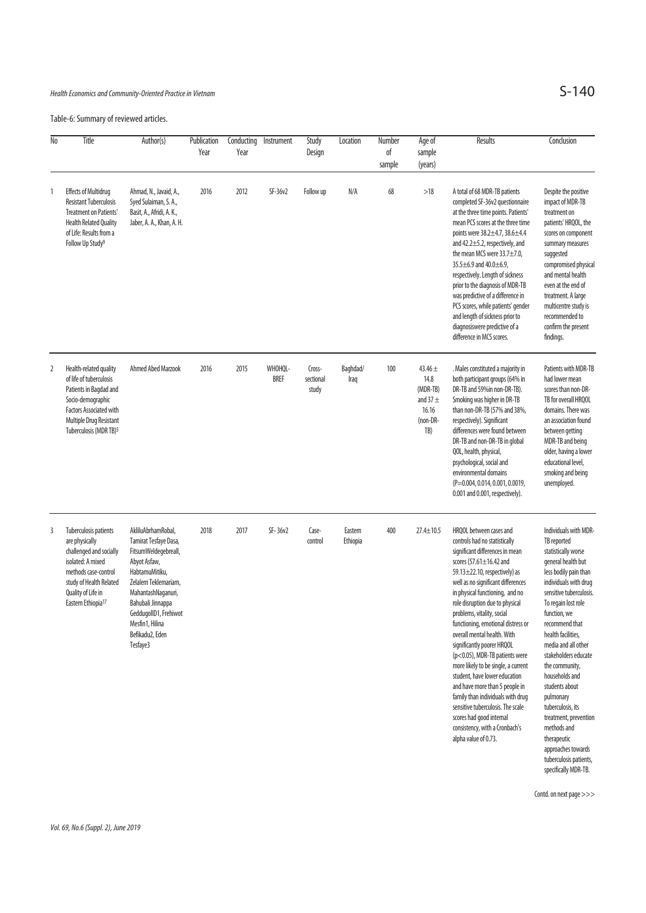### Health Economics and Community-Oriented Practice in Vietnam

Table-6: Summary of reviewed articles.

| No | Title                                                                                                                                                                                               | Author(s)                                                                                                                                                                                                                                           | Publication<br>Year | Conducting<br>Year | Instrument             | Study<br>Design              | Location            | Number<br>of<br>sample | Age of<br>sample<br>(years)                                                 | Results                                                                                                                                                                                                                                                                                                                                                                                                                                                                                                                                                                                                                                                                                                                      | Conclusion                                                                                                                                                                                                                                                                                                                                                                                                                                                                                                          |
|----|-----------------------------------------------------------------------------------------------------------------------------------------------------------------------------------------------------|-----------------------------------------------------------------------------------------------------------------------------------------------------------------------------------------------------------------------------------------------------|---------------------|--------------------|------------------------|------------------------------|---------------------|------------------------|-----------------------------------------------------------------------------|------------------------------------------------------------------------------------------------------------------------------------------------------------------------------------------------------------------------------------------------------------------------------------------------------------------------------------------------------------------------------------------------------------------------------------------------------------------------------------------------------------------------------------------------------------------------------------------------------------------------------------------------------------------------------------------------------------------------------|---------------------------------------------------------------------------------------------------------------------------------------------------------------------------------------------------------------------------------------------------------------------------------------------------------------------------------------------------------------------------------------------------------------------------------------------------------------------------------------------------------------------|
| 1  | <b>Effects of Multidrug</b><br><b>Resistant Tuberculosis</b><br><b>Treatment on Patients'</b><br><b>Health Related Quality</b><br>of Life: Results from a<br>Follow Up Study <sup>9</sup>           | Ahmad, N., Javaid, A.,<br>Syed Sulaiman, S. A.,<br>Basit, A., Afridi, A. K.,<br>Jaber, A. A., Khan, A. H.                                                                                                                                           | 2016                | 2012               | SF-36v2                | Follow up                    | N/A                 | 68                     | >18                                                                         | A total of 68 MDR-TB patients<br>completed SF-36v2 questionnaire<br>at the three time points. Patients'<br>mean PCS scores at the three time<br>points were 38.2±4.7, 38.6±4.4<br>and 42.2±5.2, respectively, and<br>the mean MCS were $33.7 \pm 7.0$ .<br>35.5 $\pm$ 6.9 and 40.0 $\pm$ 6.9,<br>respectively. Length of sickness<br>prior to the diagnosis of MDR-TB<br>was predictive of a difference in<br>PCS scores, while patients' gender<br>and length of sickness prior to<br>diagnosiswere predictive of a<br>difference in MCS scores.                                                                                                                                                                            | Despite the positive<br>impact of MDR-TB<br>treatment on<br>patients' HRQOL, the<br>scores on component<br>summary measures<br>suggested<br>compromised physical<br>and mental health<br>even at the end of<br>treatment. A large<br>multicentre study is<br>recommended to<br>confirm the present<br>findings.                                                                                                                                                                                                     |
| 2  | Health-related quality<br>of life of tuberculosis<br>Patients in Bagdad and<br>Socio-demographic<br><b>Factors Associated with</b><br>Multiple Drug Resistant<br>Tuberculosis (MDR TB) <sup>5</sup> | <b>Ahmed Abed Marzook</b>                                                                                                                                                                                                                           | 2016                | 2015               | WHOHQL-<br><b>BREF</b> | Cross-<br>sectional<br>study | Baghdad/<br>Iraq    | 100                    | 43.46 $\pm$<br>14.8<br>(MDR-TB)<br>and 37 $\pm$<br>16.16<br>(non-DR-<br>TB) | . Males constituted a majority in<br>both participant groups (64% in<br>DR-TB and 59%in non-DR-TB).<br>Smoking was higher in DR-TB<br>than non-DR-TB (57% and 38%,<br>respectively). Significant<br>differences were found between<br>DR-TB and non-DR-TB in global<br>QOL, health, physical,<br>psychological, social and<br>environmental domains<br>(P=0.004, 0.014, 0.001, 0.0019,<br>0.001 and 0.001, respectively).                                                                                                                                                                                                                                                                                                    | Patients with MDR-TB<br>had lower mean<br>scores than non-DR-<br>TB for overall HRQOL<br>domains. There was<br>an association found<br>between getting<br>MDR-TB and being<br>older, having a lower<br>educational level,<br>smoking and being<br>unemployed.                                                                                                                                                                                                                                                       |
| 3  | Tuberculosis patients<br>are physically<br>challenged and socially<br>isolated: A mixed<br>methods case-control<br>study of Health Related<br>Quality of Life in<br>Eastern Ethiopia <sup>17</sup>  | AkliluAbrhamRobal,<br>Tamirat Tesfaye Dasa,<br>FitsumWeldegebreall,<br>Abyot Asfaw,<br>HabtamuMitiku,<br>Zelalem Teklemariam,<br>MahantashNaganuri,<br>Bahubali Jinnappa<br>GeddugolID1, Frehiwot<br>Mesfin1, Hilina<br>Befikadu2, Eden<br>Tesfaye3 | 2018                | 2017               | SF-36v2                | Case-<br>control             | Eastern<br>Ethiopia | 400                    | $27.4 \pm 10.5$                                                             | HRQOL between cases and<br>controls had no statistically<br>significant differences in mean<br>scores (57.61 $\pm$ 16.42 and<br>59.13 $\pm$ 22.10, respectively) as<br>well as no significant differences<br>in physical functioning, and no<br>role disruption due to physical<br>problems, vitality, social<br>functioning, emotional distress or<br>overall mental health. With<br>significantly poorer HRQOL<br>(p<0.05), MDR-TB patients were<br>more likely to be single, a current<br>student, have lower education<br>and have more than 5 people in<br>family than individuals with drug<br>sensitive tuberculosis. The scale<br>scores had good internal<br>consistency, with a Cronbach's<br>alpha value of 0.73. | Individuals with MDR-<br>TB reported<br>statistically worse<br>general health but<br>less bodily pain than<br>individuals with drug<br>sensitive tuberculosis.<br>To regain lost role<br>function, we<br>recommend that<br>health facilities,<br>media and all other<br>stakeholders educate<br>the community,<br>households and<br>students about<br>pulmonary<br>tuberculosis, its<br>treatment, prevention<br>methods and<br>therapeutic<br>approaches towards<br>tuberculosis patients,<br>specifically MDR-TB. |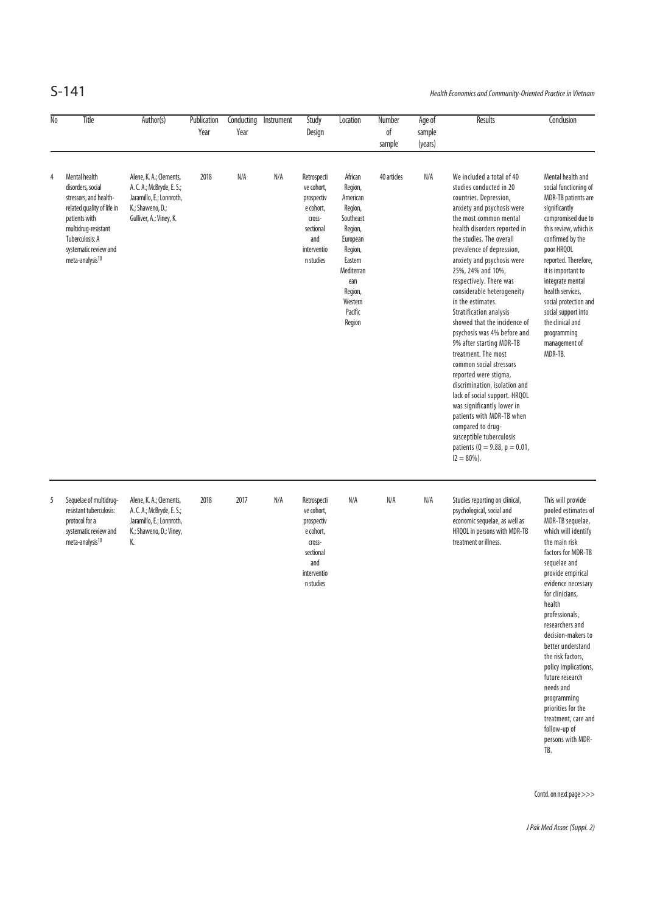S-141 Health Economics and Community-Oriented Practice in Vietnam

| $\overline{\text{No}}$ | Title                                                                                                                                                                                                         | Author(s)                                                                                                                       | Publication<br>Year | Conducting<br>Year | Instrument | Study<br>Design                                                                                                | Location                                                                                                                                                            | Number<br>оf<br>sample | Age of<br>sample<br>(years) | <b>Results</b>                                                                                                                                                                                                                                                                                                                                                                                                                                                                                                                                                                                                                                                                                                                                                                                                   | Conclusion                                                                                                                                                                                                                                                                                                                                                                                                                                                                              |
|------------------------|---------------------------------------------------------------------------------------------------------------------------------------------------------------------------------------------------------------|---------------------------------------------------------------------------------------------------------------------------------|---------------------|--------------------|------------|----------------------------------------------------------------------------------------------------------------|---------------------------------------------------------------------------------------------------------------------------------------------------------------------|------------------------|-----------------------------|------------------------------------------------------------------------------------------------------------------------------------------------------------------------------------------------------------------------------------------------------------------------------------------------------------------------------------------------------------------------------------------------------------------------------------------------------------------------------------------------------------------------------------------------------------------------------------------------------------------------------------------------------------------------------------------------------------------------------------------------------------------------------------------------------------------|-----------------------------------------------------------------------------------------------------------------------------------------------------------------------------------------------------------------------------------------------------------------------------------------------------------------------------------------------------------------------------------------------------------------------------------------------------------------------------------------|
| 4                      | Mental health<br>disorders, social<br>stressors, and health-<br>related quality of life in<br>patients with<br>multidrug-resistant<br>Tuberculosis: A<br>systematic review and<br>meta-analysis <sup>10</sup> | Alene, K. A.; Clements,<br>A. C. A.; McBryde, E. S.;<br>Jaramillo, E.; Lonnroth,<br>K.; Shaweno, D.;<br>Gulliver, A.; Viney, K. | 2018                | N/A                | N/A        | Retrospecti<br>ve cohort.<br>prospectiv<br>e cohort,<br>cross-<br>sectional<br>and<br>interventio<br>n studies | African<br>Region,<br>American<br>Region,<br>Southeast<br>Region,<br>European<br>Region,<br>Eastern<br>Mediterran<br>ean<br>Region,<br>Western<br>Pacific<br>Region | 40 articles            | N/A                         | We included a total of 40<br>studies conducted in 20<br>countries. Depression,<br>anxiety and psychosis were<br>the most common mental<br>health disorders reported in<br>the studies. The overall<br>prevalence of depression,<br>anxiety and psychosis were<br>25%, 24% and 10%,<br>respectively. There was<br>considerable heterogeneity<br>in the estimates.<br><b>Stratification analysis</b><br>showed that the incidence of<br>psychosis was 4% before and<br>9% after starting MDR-TB<br>treatment. The most<br>common social stressors<br>reported were stigma,<br>discrimination, isolation and<br>lack of social support. HRQOL<br>was significantly lower in<br>patients with MDR-TB when<br>compared to drug-<br>susceptible tuberculosis<br>patients ( $Q = 9.88$ , $p = 0.01$ ,<br>$12 = 80\%$ ). | Mental health and<br>social functioning of<br>MDR-TB patients are<br>significantly<br>compromised due to<br>this review, which is<br>confirmed by the<br>poor HRQOL<br>reported. Therefore,<br>it is important to<br>integrate mental<br>health services,<br>social protection and<br>social support into<br>the clinical and<br>programming<br>management of<br>MDR-TB.                                                                                                                |
| 5                      | Sequelae of multidrug-<br>resistant tuberculosis:<br>protocol for a<br>systematic review and<br>meta-analysis <sup>10</sup>                                                                                   | Alene, K. A.; Clements,<br>A. C. A.; McBryde, E. S.;<br>Jaramillo, E.; Lonnroth,<br>K.; Shaweno, D.; Viney,<br>K.               | 2018                | 2017               | N/A        | Retrospecti<br>ve cohort,<br>prospectiv<br>e cohort,<br>cross-<br>sectional<br>and<br>interventio<br>n studies | N/A                                                                                                                                                                 | N/A                    | N/A                         | Studies reporting on clinical,<br>psychological, social and<br>economic sequelae, as well as<br>HRQOL in persons with MDR-TB<br>treatment or illness.                                                                                                                                                                                                                                                                                                                                                                                                                                                                                                                                                                                                                                                            | This will provide<br>pooled estimates of<br>MDR-TB sequelae,<br>which will identify<br>the main risk<br>factors for MDR-TB<br>sequelae and<br>provide empirical<br>evidence necessary<br>for clinicians.<br>health<br>professionals,<br>researchers and<br>decision-makers to<br>better understand<br>the risk factors,<br>policy implications,<br>future research<br>needs and<br>programming<br>priorities for the<br>treatment, care and<br>follow-up of<br>persons with MDR-<br>TB. |

Contd. on next page >>>

J Pak Med Assoc (Suppl. 2)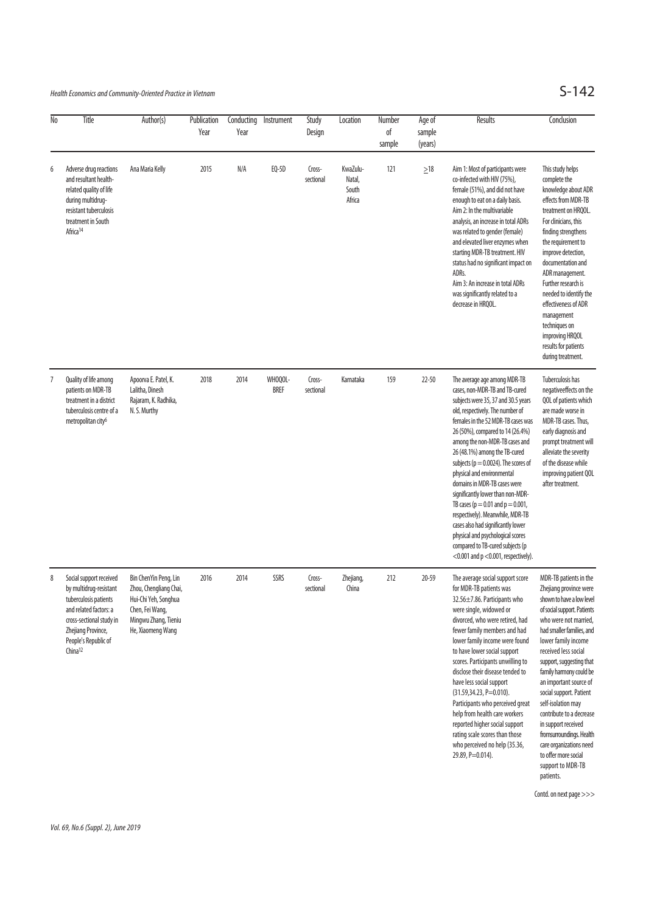# Health Economics and Community-Oriented Practice in Vietnam  $S-142$

| No | Title                                                                                                                                                                                                 | Author(s)                                                                                                                               | Publication<br>Year | Conducting<br>Year | Instrument             | Study<br>Design     | Location                              | Number<br>of<br>sample | Age of<br>sample<br>(years) | Results                                                                                                                                                                                                                                                                                                                                                                                                                                                                                                                                                                                                                                                                      | Conclusion                                                                                                                                                                                                                                                                                                                                                                                                                                                                                                              |
|----|-------------------------------------------------------------------------------------------------------------------------------------------------------------------------------------------------------|-----------------------------------------------------------------------------------------------------------------------------------------|---------------------|--------------------|------------------------|---------------------|---------------------------------------|------------------------|-----------------------------|------------------------------------------------------------------------------------------------------------------------------------------------------------------------------------------------------------------------------------------------------------------------------------------------------------------------------------------------------------------------------------------------------------------------------------------------------------------------------------------------------------------------------------------------------------------------------------------------------------------------------------------------------------------------------|-------------------------------------------------------------------------------------------------------------------------------------------------------------------------------------------------------------------------------------------------------------------------------------------------------------------------------------------------------------------------------------------------------------------------------------------------------------------------------------------------------------------------|
| 6  | Adverse drug reactions<br>and resultant health-<br>related quality of life<br>during multidrug-<br>resistant tuberculosis<br>treatment in South<br>Africa <sup>14</sup>                               | Ana Maria Kelly                                                                                                                         | 2015                | N/A                | EQ-5D                  | Cross-<br>sectional | KwaZulu-<br>Natal,<br>South<br>Africa | 121                    | $\geq 18$                   | Aim 1: Most of participants were<br>co-infected with HIV (75%),<br>female (51%), and did not have<br>enough to eat on a daily basis.<br>Aim 2: In the multivariable<br>analysis, an increase in total ADRs<br>was related to gender (female)<br>and elevated liver enzymes when<br>starting MDR-TB treatment. HIV<br>status had no significant impact on<br>ADRs.<br>Aim 3: An increase in total ADRs<br>was significantly related to a<br>decrease in HRQOL.                                                                                                                                                                                                                | This study helps<br>complete the<br>knowledge about ADR<br>effects from MDR-TB<br>treatment on HRQOL.<br>For clinicians, this<br>finding strengthens<br>the requirement to<br>improve detection,<br>documentation and<br>ADR management.<br>Further research is<br>needed to identify the<br>effectiveness of ADR<br>management<br>techniques on<br>improving HRQOL<br>results for patients<br>during treatment.                                                                                                        |
| 7  | Quality of life among<br>patients on MDR-TB<br>treatment in a district<br>tuberculosis centre of a<br>metropolitan city <sup>6</sup>                                                                  | Apoorva E. Patel, K.<br>Lalitha, Dinesh<br>Rajaram, K. Radhika,<br>N.S. Murthy                                                          | 2018                | 2014               | WHOQOL-<br><b>BREF</b> | Cross-<br>sectional | Karnataka                             | 159                    | $22 - 50$                   | The average age among MDR-TB<br>cases, non-MDR-TB and TB-cured<br>subjects were 35, 37 and 30.5 years<br>old, respectively. The number of<br>females in the 52 MDR-TB cases was<br>26 (50%), compared to 14 (26.4%)<br>among the non-MDR-TB cases and<br>26 (48.1%) among the TB-cured<br>subjects ( $p = 0.0024$ ). The scores of<br>physical and environmental<br>domains in MDR-TB cases were<br>significantly lower than non-MDR-<br>TB cases ( $p = 0.01$ and $p = 0.001$ ,<br>respectively). Meanwhile, MDR-TB<br>cases also had significantly lower<br>physical and psychological scores<br>compared to TB-cured subjects (p<br><0.001 and $p$ <0.001, respectively). | Tuberculosis has<br>negativeeffects on the<br>QOL of patients which<br>are made worse in<br>MDR-TB cases. Thus,<br>early diagnosis and<br>prompt treatment will<br>alleviate the severity<br>of the disease while<br>improving patient QOL<br>after treatment.                                                                                                                                                                                                                                                          |
| 8  | Social support received<br>by multidrug-resistant<br>tuberculosis patients<br>and related factors: a<br>cross-sectional study in<br>Zhejiang Province,<br>People's Republic of<br>China <sup>12</sup> | Bin ChenYin Peng, Lin<br>Zhou, Chengliang Chai,<br>Hui-Chi Yeh, Songhua<br>Chen, Fei Wang,<br>Mingwu Zhang, Tieniu<br>He, Xiaomeng Wang | 2016                | 2014               | SSRS                   | Cross-<br>sectional | Zhejiang,<br>China                    | 212                    | $20 - 59$                   | The average social support score<br>for MDR-TB patients was<br>32.56±7.86. Participants who<br>were single, widowed or<br>divorced, who were retired, had<br>fewer family members and had<br>lower family income were found<br>to have lower social support<br>scores. Participants unwilling to<br>disclose their disease tended to<br>have less social support<br>(31.59,34.23, P=0.010).<br>Participants who perceived great<br>help from health care workers<br>reported higher social support<br>rating scale scores than those<br>who perceived no help (35.36,<br>29.89, P=0.014).                                                                                    | MDR-TB patients in the<br>Zhejiang province were<br>shown to have a low level<br>of social support. Patients<br>who were not married,<br>had smaller families, and<br>lower family income<br>received less social<br>support, suggesting that<br>family harmony could be<br>an important source of<br>social support. Patient<br>self-isolation may<br>contribute to a decrease<br>in support received<br>fromsurroundings. Health<br>care organizations need<br>to offer more social<br>support to MDR-TB<br>patients. |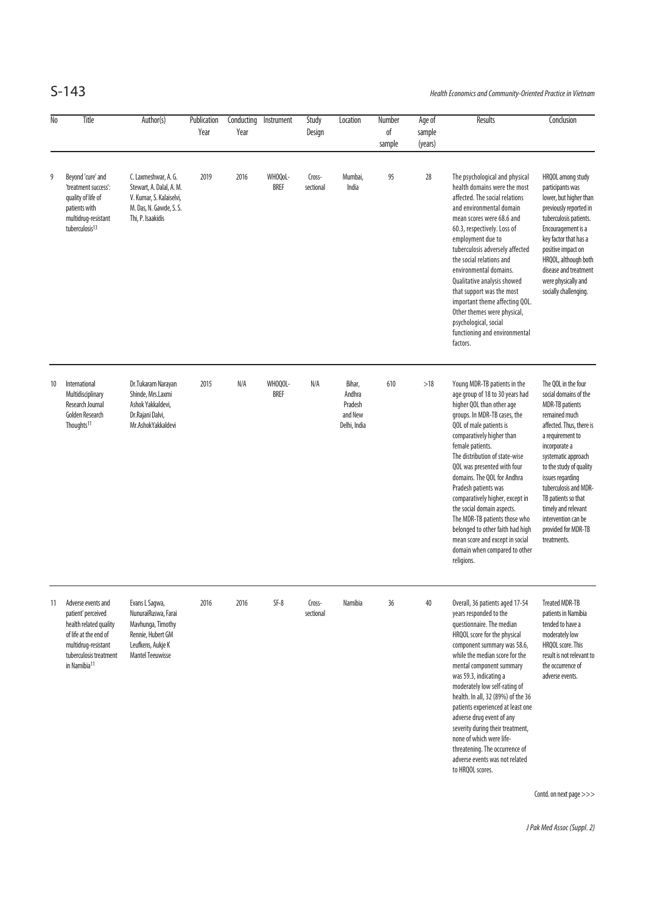S-143 Health Economics and Community-Oriented Practice in Vietnam

| 9  | Title                                                                                                                                                                    | Author(s)                                                                                                                       | Publication<br>Year | Conducting<br>Year | Instrument             | Study<br>Design     | Location                                               | Number<br>of<br>sample | Age of<br>sample<br>(years) | Results                                                                                                                                                                                                                                                                                                                                                                                                                                                                                                                                                  | Conclusion                                                                                                                                                                                                                                                                                                                                                         |
|----|--------------------------------------------------------------------------------------------------------------------------------------------------------------------------|---------------------------------------------------------------------------------------------------------------------------------|---------------------|--------------------|------------------------|---------------------|--------------------------------------------------------|------------------------|-----------------------------|----------------------------------------------------------------------------------------------------------------------------------------------------------------------------------------------------------------------------------------------------------------------------------------------------------------------------------------------------------------------------------------------------------------------------------------------------------------------------------------------------------------------------------------------------------|--------------------------------------------------------------------------------------------------------------------------------------------------------------------------------------------------------------------------------------------------------------------------------------------------------------------------------------------------------------------|
|    | Beyond 'cure' and<br>'treatment success':<br>quality of life of<br>patients with<br>multidrug-resistant<br>tuberculosis <sup>13</sup>                                    | C. Laxmeshwar, A. G.<br>Stewart, A. Dalal, A. M.<br>V. Kumar, S. Kalaiselvi,<br>M. Das, N. Gawde, S. S.<br>Thi, P. Isaakidis    | 2019                | 2016               | WHOQoL-<br><b>BREF</b> | Cross-<br>sectional | Mumbai,<br>India                                       | 95                     | 28                          | The psychological and physical<br>health domains were the most<br>affected. The social relations<br>and environmental domain<br>mean scores were 68.6 and<br>60.3, respectively. Loss of<br>employment due to<br>tuberculosis adversely affected<br>the social relations and<br>environmental domains.<br>Qualitative analysis showed<br>that support was the most<br>important theme affecting QOL.<br>Other themes were physical,<br>psychological, social<br>functioning and environmental<br>factors.                                                | HRQOL among study<br>participants was<br>lower, but higher than<br>previously reported in<br>tuberculosis patients.<br>Encouragement is a<br>key factor that has a<br>positive impact on<br>HRQOL, although both<br>disease and treatment<br>were physically and<br>socially challenging.                                                                          |
| 10 | International<br>Multidisciplinary<br>Research Journal<br>Golden Research<br>Thoughts <sup>11</sup>                                                                      | Dr.Tukaram Narayan<br>Shinde, Mrs.Laxmi<br>Ashok Yakkaldevi,<br>Dr.Rajani Dalvi,<br>Mr.AshokYakkaldevi                          | 2015                | N/A                | WHOQOL-<br><b>BREF</b> | N/A                 | Bihar,<br>Andhra<br>Pradesh<br>and New<br>Delhi, India | 610                    | >18                         | Young MDR-TB patients in the<br>age group of 18 to 30 years had<br>higher QOL than other age<br>groups. In MDR-TB cases, the<br>QOL of male patients is<br>comparatively higher than<br>female patients.<br>The distribution of state-wise<br>QOL was presented with four<br>domains. The QOL for Andhra<br>Pradesh patients was<br>comparatively higher, except in<br>the social domain aspects.<br>The MDR-TB patients those who<br>belonged to other faith had high<br>mean score and except in social<br>domain when compared to other<br>religions. | The QOL in the four<br>social domains of the<br><b>MDR-TB</b> patients<br>remained much<br>affected. Thus, there is<br>a requirement to<br>incorporate a<br>systematic approach<br>to the study of quality<br>issues regarding<br>tuberculosis and MDR-<br>TB patients so that<br>timely and relevant<br>intervention can be<br>provided for MDR-TB<br>treatments. |
| 11 | Adverse events and<br>patient' perceived<br>health related quality<br>of life at the end of<br>multidrug-resistant<br>tuberculosis treatment<br>in Namibia <sup>11</sup> | Evans L Sagwa,<br>NunuraiRuswa, Farai<br>Mavhunga, Timothy<br>Rennie, Hubert GM<br>Leufkens, Aukje K<br><b>Mantel Teeuwisse</b> | 2016                | 2016               | $SF-8$                 | Cross-<br>sectional | Namibia                                                | 36                     | 40                          | Overall, 36 patients aged 17-54<br>years responded to the<br>questionnaire. The median<br>HRQOL score for the physical<br>component summary was 58.6,<br>while the median score for the<br>mental component summary<br>was 59.3, indicating a<br>moderately low self-rating of<br>health. In all, 32 (89%) of the 36<br>patients experienced at least one<br>adverse drug event of any<br>severity during their treatment,<br>none of which were life-<br>threatening. The occurrence of<br>adverse events was not related<br>to HRQOL scores.           | <b>Treated MDR-TB</b><br>patients in Namibia<br>tended to have a<br>moderately low<br>HRQOL score. This<br>result is not relevant to<br>the occurrence of<br>adverse events.<br>Contd. on next page >>>                                                                                                                                                            |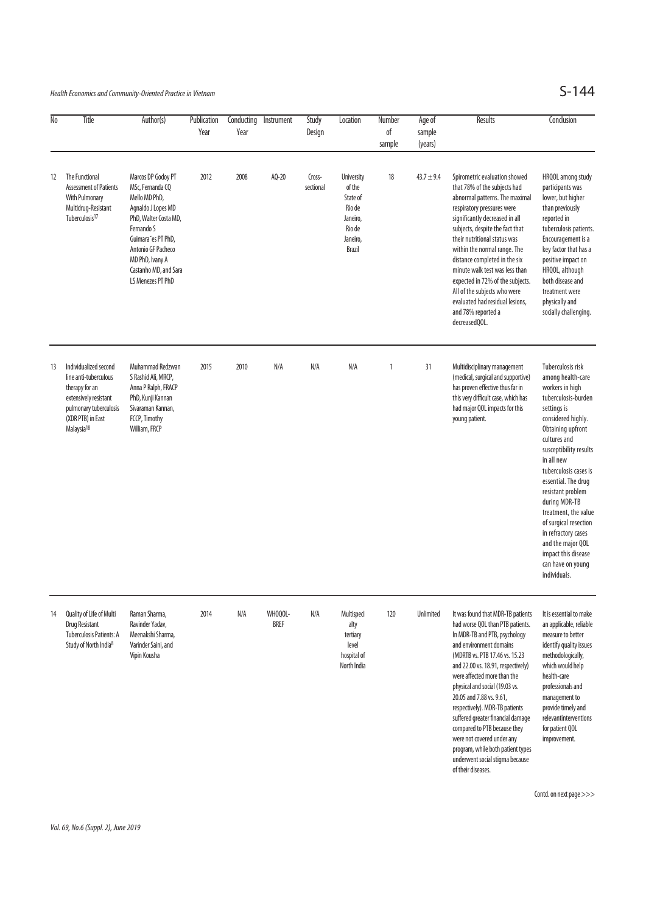Health Economics and Community-Oriented Practice in Vietnam  $S-144$ 

| No                | Title                                                                                                                                                              | Author(s)                                                                                                                                                                                                                         | Publication<br>Year | Conducting<br>Year | Instrument             | Study<br>Design     | Location                                                                                             | Number<br>оf<br>sample | Age of<br>sample<br>(years) | Results                                                                                                                                                                                                                                                                                                                                                                                                                                                                                                                                    | Conclusion                                                                                                                                                                                                                                                                                                                                                                                                                                        |
|-------------------|--------------------------------------------------------------------------------------------------------------------------------------------------------------------|-----------------------------------------------------------------------------------------------------------------------------------------------------------------------------------------------------------------------------------|---------------------|--------------------|------------------------|---------------------|------------------------------------------------------------------------------------------------------|------------------------|-----------------------------|--------------------------------------------------------------------------------------------------------------------------------------------------------------------------------------------------------------------------------------------------------------------------------------------------------------------------------------------------------------------------------------------------------------------------------------------------------------------------------------------------------------------------------------------|---------------------------------------------------------------------------------------------------------------------------------------------------------------------------------------------------------------------------------------------------------------------------------------------------------------------------------------------------------------------------------------------------------------------------------------------------|
| $12 \overline{ }$ | <b>The Functional</b><br><b>Assessment of Patients</b><br><b>With Pulmonary</b><br>Multidrug-Resistant<br>Tuberculosis <sup>17</sup>                               | Marcos DP Godoy PT<br>MSc, Fernanda CQ<br>Mello MD PhD,<br>Agnaldo J Lopes MD<br>PhD, Walter Costa MD,<br>Fernando S<br>Guimara es PT PhD,<br>Antonio GF Pacheco<br>MD PhD, Ivany A<br>Castanho MD, and Sara<br>LS Menezes PT PhD | 2012                | 2008               | AQ-20                  | Cross-<br>sectional | <b>University</b><br>of the<br>State of<br>Rio de<br>Janeiro,<br>Rio de<br>Janeiro,<br><b>Brazil</b> | 18                     | $43.7 \pm 9.4$              | Spirometric evaluation showed<br>that 78% of the subjects had<br>abnormal patterns. The maximal<br>respiratory pressures were<br>significantly decreased in all<br>subjects, despite the fact that<br>their nutritional status was<br>within the normal range. The<br>distance completed in the six<br>minute walk test was less than<br>expected in 72% of the subjects.<br>All of the subjects who were<br>evaluated had residual lesions,<br>and 78% reported a<br>decreasedQOL.                                                        | HRQOL among study<br>participants was<br>lower, but higher<br>than previously<br>reported in<br>tuberculosis patients.<br>Encouragement is a<br>key factor that has a<br>positive impact on<br>HRQOL, although<br>both disease and<br>treatment were<br>physically and<br>socially challenging.                                                                                                                                                   |
| 13                | Individualized second<br>line anti-tuberculous<br>therapy for an<br>extensively resistant<br>pulmonary tuberculosis<br>(XDR PTB) in East<br>Malaysia <sup>18</sup> | Muhammad Redzwan<br>S Rashid Ali, MRCP,<br>Anna P Ralph, FRACP<br>PhD, Kunji Kannan<br>Sivaraman Kannan,<br>FCCP, Timothy<br>William, FRCP                                                                                        | 2015                | 2010               | N/A                    | N/A                 | N/A                                                                                                  | $\mathbf{1}$           | 31                          | Multidisciplinary management<br>(medical, surgical and supportive)<br>has proven effective thus far in<br>this very difficult case, which has<br>had major QOL impacts for this<br>young patient.                                                                                                                                                                                                                                                                                                                                          | Tuberculosis risk<br>among health-care<br>workers in high<br>tuberculosis-burden<br>settings is<br>considered highly.<br>Obtaining upfront<br>cultures and<br>susceptibility results<br>in all new<br>tuberculosis cases is<br>essential. The drug<br>resistant problem<br>during MDR-TB<br>treatment, the value<br>of surgical resection<br>in refractory cases<br>and the major QOL<br>impact this disease<br>can have on young<br>individuals. |
| 14                | Quality of Life of Multi<br><b>Drug Resistant</b><br><b>Tuberculosis Patients: A</b><br>Study of North India <sup>8</sup>                                          | Raman Sharma,<br>Ravinder Yadav,<br>Meenakshi Sharma,<br>Varinder Saini, and<br>Vipin Kousha                                                                                                                                      | 2014                | N/A                | WHOQOL-<br><b>BREF</b> | N/A                 | Multispeci<br>alty<br>tertiary<br>level<br>hospital of<br>North India                                | 120                    | Unlimited                   | It was found that MDR-TB patients<br>had worse QOL than PTB patients.<br>In MDR-TB and PTB, psychology<br>and environment domains<br>(MDRTB vs. PTB 17.46 vs. 15.23)<br>and 22.00 vs. 18.91, respectively)<br>were affected more than the<br>physical and social (19.03 vs.<br>20.05 and 7.88 vs. 9.61,<br>respectively). MDR-TB patients<br>suffered greater financial damage<br>compared to PTB because they<br>were not covered under any<br>program, while both patient types<br>underwent social stigma because<br>of their diseases. | It is essential to make<br>an applicable, reliable<br>measure to better<br>identify quality issues<br>methodologically,<br>which would help<br>health-care<br>professionals and<br>management to<br>provide timely and<br>relevantinterventions<br>for patient QOL<br>improvement.                                                                                                                                                                |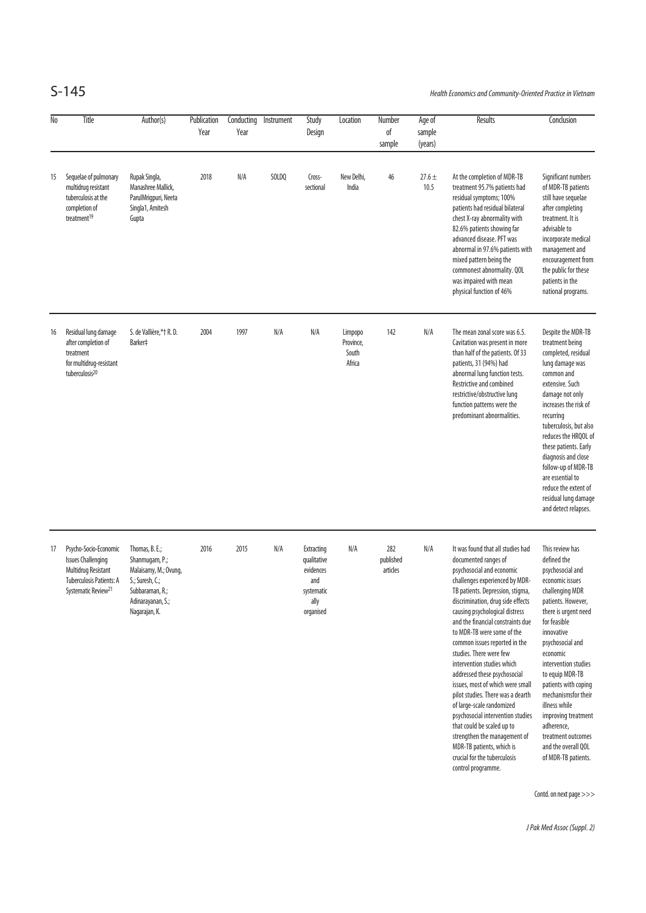S-145 Health Economics and Community-Oriented Practice in Vietnam

| No | Title                                                                                                                                           | Author(s)                                                                                                                             | Publication<br>Year | Conducting<br>Year | Instrument | Study<br>Design                                                                  | Location                                | Number<br>of<br>sample       | Age of<br>sample<br>(years) | Results                                                                                                                                                                                                                                                                                                                                                                                                                                                                                                                                                                                                                                                                                                                      | Conclusion                                                                                                                                                                                                                                                                                                                                                                                                               |
|----|-------------------------------------------------------------------------------------------------------------------------------------------------|---------------------------------------------------------------------------------------------------------------------------------------|---------------------|--------------------|------------|----------------------------------------------------------------------------------|-----------------------------------------|------------------------------|-----------------------------|------------------------------------------------------------------------------------------------------------------------------------------------------------------------------------------------------------------------------------------------------------------------------------------------------------------------------------------------------------------------------------------------------------------------------------------------------------------------------------------------------------------------------------------------------------------------------------------------------------------------------------------------------------------------------------------------------------------------------|--------------------------------------------------------------------------------------------------------------------------------------------------------------------------------------------------------------------------------------------------------------------------------------------------------------------------------------------------------------------------------------------------------------------------|
| 15 | Sequelae of pulmonary<br>multidrug resistant<br>tuberculosis at the<br>completion of<br>treatment <sup>19</sup>                                 | Rupak Singla,<br>Manashree Mallick,<br>ParulMrigpuri, Neeta<br>Singla1, Amitesh<br>Gupta                                              | 2018                | N/A                | SOLDQ      | Cross-<br>sectional                                                              | New Delhi,<br>India                     | 46                           | $27.6 \pm$<br>10.5          | At the completion of MDR-TB<br>treatment 95.7% patients had<br>residual symptoms; 100%<br>patients had residual bilateral<br>chest X-ray abnormality with<br>82.6% patients showing far<br>advanced disease. PFT was<br>abnormal in 97.6% patients with<br>mixed pattern being the<br>commonest abnormality. QOL<br>was impaired with mean<br>physical function of 46%                                                                                                                                                                                                                                                                                                                                                       | Significant numbers<br>of MDR-TB patients<br>still have sequelae<br>after completing<br>treatment. It is<br>advisable to<br>incorporate medical<br>management and<br>encouragement from<br>the public for these<br>patients in the<br>national programs.                                                                                                                                                                 |
| 16 | Residual lung damage<br>after completion of<br>treatment<br>for multidrug-resistant<br>tuberculosis <sup>20</sup>                               | S. de Vallière,*† R. D.<br>Barker‡                                                                                                    | 2004                | 1997               | N/A        | N/A                                                                              | Limpopo<br>Province,<br>South<br>Africa | 142                          | N/A                         | The mean zonal score was 6.5.<br>Cavitation was present in more<br>than half of the patients. Of 33<br>patients, 31 (94%) had<br>abnormal lung function tests.<br>Restrictive and combined<br>restrictive/obstructive lung<br>function patterns were the<br>predominant abnormalities.                                                                                                                                                                                                                                                                                                                                                                                                                                       | Despite the MDR-TB<br>treatment being<br>completed, residual<br>lung damage was<br>common and<br>extensive. Such<br>damage not only<br>increases the risk of<br>recurring<br>tuberculosis, but also<br>reduces the HRQOL of<br>these patients. Early<br>diagnosis and close<br>follow-up of MDR-TB<br>are essential to<br>reduce the extent of<br>residual lung damage<br>and detect relapses.                           |
| 17 | Psycho-Socio-Economic<br><b>Issues Challenging</b><br>Multidrug Resistant<br><b>Tuberculosis Patients: A</b><br>Systematic Review <sup>21</sup> | Thomas, B. E.;<br>Shanmugam, P.;<br>Malaisamy, M.; Ovung,<br>S.; Suresh, C.;<br>Subbaraman, R.;<br>Adinarayanan, S.;<br>Nagarajan, K. | 2016                | 2015               | N/A        | Extracting<br>qualitative<br>evidences<br>and<br>systematic<br>ally<br>organised | N/A                                     | 282<br>published<br>articles | N/A                         | It was found that all studies had<br>documented ranges of<br>psychosocial and economic<br>challenges experienced by MDR-<br>TB patients. Depression, stigma,<br>discrimination, drug side effects<br>causing psychological distress<br>and the financial constraints due<br>to MDR-TB were some of the<br>common issues reported in the<br>studies. There were few<br>intervention studies which<br>addressed these psychosocial<br>issues, most of which were small<br>pilot studies. There was a dearth<br>of large-scale randomized<br>psychosocial intervention studies<br>that could be scaled up to<br>strengthen the management of<br>MDR-TB patients, which is<br>crucial for the tuberculosis<br>control programme. | This review has<br>defined the<br>psychosocial and<br>economic issues<br>challenging MDR<br>patients. However,<br>there is urgent need<br>for feasible<br>innovative<br>psychosocial and<br>economic<br>intervention studies<br>to equip MDR-TB<br>patients with coping<br>mechanismsfor their<br>illness while<br>improving treatment<br>adherence,<br>treatment outcomes<br>and the overall QOL<br>of MDR-TB patients. |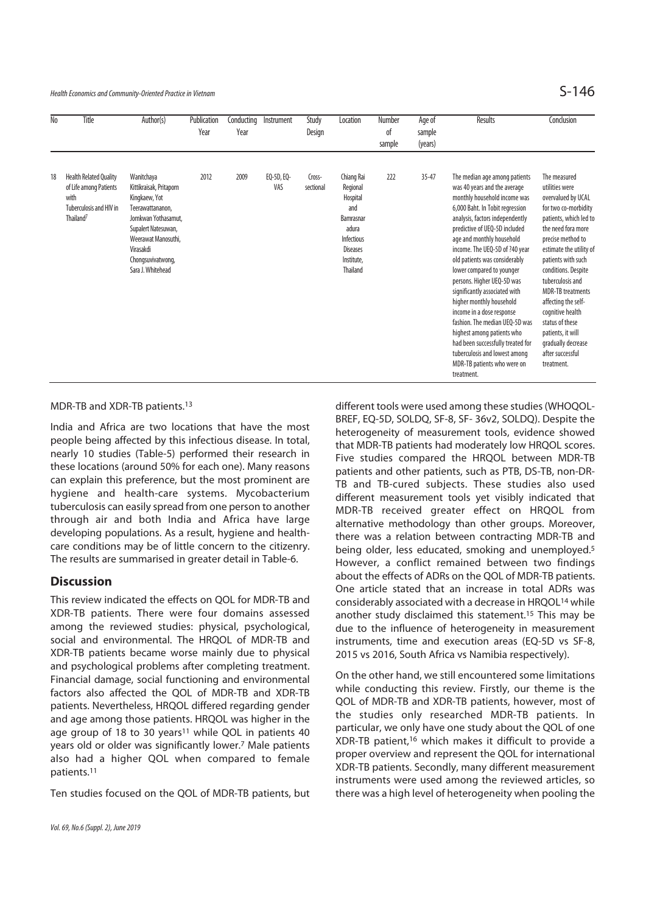Health Economics and Community-Oriented Practice in Vietnam  $\mathsf{S}\text{-}146$ 

| No | Title                                                                                                               | Author(s)                                                                                                                                                                                              | Publication<br>Year | Conducting<br>Year | Instrument        | Study<br>Design     | Location                                                                                                                          | Number<br>of<br>sample | Age of<br>sample<br>(years) | Results                                                                                                                                                                                                                                                                                                                                                                                                                                                                                                                                                                                         | Conclusion                                                                                                                                                                                                                                                                                                                                                                                             |
|----|---------------------------------------------------------------------------------------------------------------------|--------------------------------------------------------------------------------------------------------------------------------------------------------------------------------------------------------|---------------------|--------------------|-------------------|---------------------|-----------------------------------------------------------------------------------------------------------------------------------|------------------------|-----------------------------|-------------------------------------------------------------------------------------------------------------------------------------------------------------------------------------------------------------------------------------------------------------------------------------------------------------------------------------------------------------------------------------------------------------------------------------------------------------------------------------------------------------------------------------------------------------------------------------------------|--------------------------------------------------------------------------------------------------------------------------------------------------------------------------------------------------------------------------------------------------------------------------------------------------------------------------------------------------------------------------------------------------------|
| 18 | <b>Health Related Quality</b><br>of Life among Patients<br>with<br>Tuberculosis and HIV in<br>Thailand <sup>7</sup> | Wanitchaya<br>Kittikraisak, Pritaporn<br>Kingkaew, Yot<br>Teerawattananon,<br>Jomkwan Yothasamut,<br>Supalert Natesuwan,<br>Weerawat Manosuthi,<br>Virasakdi<br>Chongsuvivatwong,<br>Sara J. Whitehead | 2012                | 2009               | EQ-5D, EQ-<br>VAS | Cross-<br>sectional | Chiang Rai<br>Regional<br>Hospital<br>and<br>Bamrasnar<br>adura<br>Infectious<br><b>Diseases</b><br>Institute,<br><b>Thailand</b> | 222                    | $35 - 47$                   | The median age among patients<br>was 40 years and the average<br>monthly household income was<br>6,000 Baht. In Tobit regression<br>analysis, factors independently<br>predictive of UEQ-5D included<br>age and monthly household<br>income. The UEQ-5D of ?40 year<br>old patients was considerably<br>lower compared to younger<br>persons. Higher UEQ-5D was<br>significantly associated with<br>higher monthly household<br>income in a dose response<br>fashion. The median UEO-5D was<br>highest among patients who<br>had been successfully treated for<br>tuberculosis and lowest among | The measured<br>utilities were<br>overvalued by UCAL<br>for two co-morbidity<br>patients, which led to<br>the need fora more<br>precise method to<br>estimate the utility of<br>patients with such<br>conditions. Despite<br>tuberculosis and<br><b>MDR-TB</b> treatments<br>affecting the self-<br>cognitive health<br>status of these<br>patients, it will<br>gradually decrease<br>after successful |

MDR-TB and XDR-TB patients.13

India and Africa are two locations that have the most people being affected by this infectious disease. In total, nearly 10 studies (Table-5) performed their research in these locations (around 50% for each one). Many reasons can explain this preference, but the most prominent are hygiene and health-care systems. Mycobacterium tuberculosis can easily spread from one person to another through air and both India and Africa have large developing populations. As a result, hygiene and healthcare conditions may be of little concern to the citizenry. The results are summarised in greater detail in Table-6.

## **Discussion**

This review indicated the effects on QOL for MDR-TB and XDR-TB patients. There were four domains assessed among the reviewed studies: physical, psychological, social and environmental. The HRQOL of MDR-TB and XDR-TB patients became worse mainly due to physical and psychological problems after completing treatment. Financial damage, social functioning and environmental factors also affected the QOL of MDR-TB and XDR-TB patients. Nevertheless, HRQOL differed regarding gender and age among those patients. HRQOL was higher in the age group of 18 to 30 years<sup>11</sup> while QOL in patients 40 years old or older was significantly lower.7 Male patients also had a higher QOL when compared to female patients.11

Ten studies focused on the QOL of MDR-TB patients, but

Vol. 69, No.6 (Suppl. 2), June 2019

different tools were used among these studies (WHOQOL-BREF, EQ-5D, SOLDQ, SF-8, SF- 36v2, SOLDQ). Despite the heterogeneity of measurement tools, evidence showed that MDR-TB patients had moderately low HRQOL scores. Five studies compared the HRQOL between MDR-TB patients and other patients, such as PTB, DS-TB, non-DR-TB and TB-cured subjects. These studies also used different measurement tools yet visibly indicated that MDR-TB received greater effect on HRQOL from alternative methodology than other groups. Moreover, there was a relation between contracting MDR-TB and being older, less educated, smoking and unemployed.5 However, a conflict remained between two findings about the effects of ADRs on the QOL of MDR-TB patients. One article stated that an increase in total ADRs was considerably associated with a decrease in HRQOL14 while another study disclaimed this statement.15 This may be due to the influence of heterogeneity in measurement instruments, time and execution areas (EQ-5D vs SF-8, 2015 vs 2016, South Africa vs Namibia respectively).

MDR-TB patients who were on

treatment.

treatment.

On the other hand, we still encountered some limitations while conducting this review. Firstly, our theme is the QOL of MDR-TB and XDR-TB patients, however, most of the studies only researched MDR-TB patients. In particular, we only have one study about the QOL of one XDR-TB patient,16 which makes it difficult to provide a proper overview and represent the QOL for international XDR-TB patients. Secondly, many different measurement instruments were used among the reviewed articles, so there was a high level of heterogeneity when pooling the